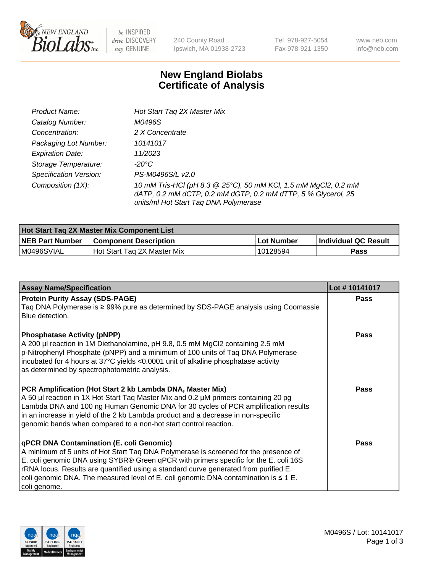

 $be$  INSPIRED drive DISCOVERY stay GENUINE

240 County Road Ipswich, MA 01938-2723 Tel 978-927-5054 Fax 978-921-1350 www.neb.com info@neb.com

## **New England Biolabs Certificate of Analysis**

| Product Name:           | Hot Start Tag 2X Master Mix                                                                                                                                               |
|-------------------------|---------------------------------------------------------------------------------------------------------------------------------------------------------------------------|
| Catalog Number:         | M0496S                                                                                                                                                                    |
| Concentration:          | 2 X Concentrate                                                                                                                                                           |
| Packaging Lot Number:   | 10141017                                                                                                                                                                  |
| <b>Expiration Date:</b> | 11/2023                                                                                                                                                                   |
| Storage Temperature:    | -20°C                                                                                                                                                                     |
| Specification Version:  | PS-M0496S/L v2.0                                                                                                                                                          |
| Composition (1X):       | 10 mM Tris-HCl (pH 8.3 @ 25°C), 50 mM KCl, 1.5 mM MgCl2, 0.2 mM<br>dATP, 0.2 mM dCTP, 0.2 mM dGTP, 0.2 mM dTTP, 5 % Glycerol, 25<br>units/ml Hot Start Taq DNA Polymerase |

| <b>Hot Start Tag 2X Master Mix Component List</b> |                               |            |                      |  |  |
|---------------------------------------------------|-------------------------------|------------|----------------------|--|--|
| <b>NEB Part Number</b>                            | <b>Component Description</b>  | Lot Number | Individual QC Result |  |  |
| M0496SVIAL                                        | l Hot Start Tag 2X Master Mix | 10128594   | Pass                 |  |  |

| <b>Assay Name/Specification</b>                                                                                                                                                                                                                                                                                                                                                                                              | Lot #10141017 |
|------------------------------------------------------------------------------------------------------------------------------------------------------------------------------------------------------------------------------------------------------------------------------------------------------------------------------------------------------------------------------------------------------------------------------|---------------|
| <b>Protein Purity Assay (SDS-PAGE)</b><br>Taq DNA Polymerase is ≥ 99% pure as determined by SDS-PAGE analysis using Coomassie<br>Blue detection.                                                                                                                                                                                                                                                                             | <b>Pass</b>   |
| <b>Phosphatase Activity (pNPP)</b><br>A 200 µl reaction in 1M Diethanolamine, pH 9.8, 0.5 mM MgCl2 containing 2.5 mM<br>p-Nitrophenyl Phosphate (pNPP) and a minimum of 100 units of Taq DNA Polymerase<br>incubated for 4 hours at 37°C yields <0.0001 unit of alkaline phosphatase activity<br>as determined by spectrophotometric analysis.                                                                               | <b>Pass</b>   |
| PCR Amplification (Hot Start 2 kb Lambda DNA, Master Mix)<br>A 50 µl reaction in 1X Hot Start Tag Master Mix and 0.2 µM primers containing 20 pg<br>Lambda DNA and 100 ng Human Genomic DNA for 30 cycles of PCR amplification results<br>in an increase in yield of the 2 kb Lambda product and a decrease in non-specific<br>genomic bands when compared to a non-hot start control reaction.                              | <b>Pass</b>   |
| qPCR DNA Contamination (E. coli Genomic)<br>A minimum of 5 units of Hot Start Taq DNA Polymerase is screened for the presence of<br>E. coli genomic DNA using SYBR® Green qPCR with primers specific for the E. coli 16S<br>rRNA locus. Results are quantified using a standard curve generated from purified E.<br>coli genomic DNA. The measured level of E. coli genomic DNA contamination is $\leq 1$ E.<br>coli genome. | Pass          |

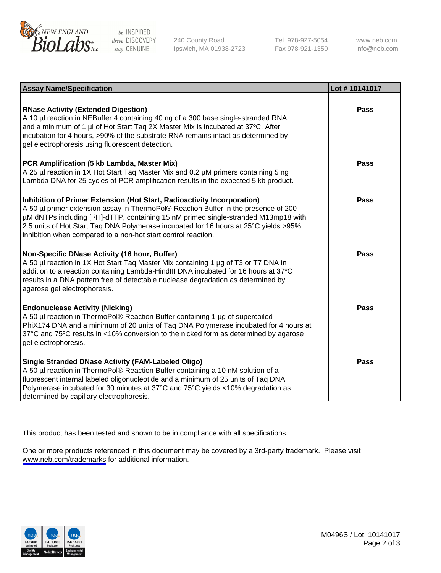

be INSPIRED drive DISCOVERY stay GENUINE

240 County Road Ipswich, MA 01938-2723 Tel 978-927-5054 Fax 978-921-1350

www.neb.com info@neb.com

| <b>Assay Name/Specification</b>                                                                                                                                                                                                                                                                                                                                                                                | Lot #10141017 |
|----------------------------------------------------------------------------------------------------------------------------------------------------------------------------------------------------------------------------------------------------------------------------------------------------------------------------------------------------------------------------------------------------------------|---------------|
| <b>RNase Activity (Extended Digestion)</b><br>A 10 µl reaction in NEBuffer 4 containing 40 ng of a 300 base single-stranded RNA<br>and a minimum of 1 µl of Hot Start Taq 2X Master Mix is incubated at 37°C. After<br>incubation for 4 hours, >90% of the substrate RNA remains intact as determined by<br>gel electrophoresis using fluorescent detection.                                                   | Pass          |
| PCR Amplification (5 kb Lambda, Master Mix)<br>A 25 µl reaction in 1X Hot Start Taq Master Mix and 0.2 µM primers containing 5 ng<br>Lambda DNA for 25 cycles of PCR amplification results in the expected 5 kb product.                                                                                                                                                                                       | Pass          |
| Inhibition of Primer Extension (Hot Start, Radioactivity Incorporation)<br>A 50 µl primer extension assay in ThermoPol® Reaction Buffer in the presence of 200<br>µM dNTPs including [3H]-dTTP, containing 15 nM primed single-stranded M13mp18 with<br>2.5 units of Hot Start Taq DNA Polymerase incubated for 16 hours at 25°C yields > 95%<br>inhibition when compared to a non-hot start control reaction. | Pass          |
| Non-Specific DNase Activity (16 hour, Buffer)<br>A 50 µl reaction in 1X Hot Start Tag Master Mix containing 1 µg of T3 or T7 DNA in<br>addition to a reaction containing Lambda-HindIII DNA incubated for 16 hours at 37°C<br>results in a DNA pattern free of detectable nuclease degradation as determined by<br>agarose gel electrophoresis.                                                                | <b>Pass</b>   |
| <b>Endonuclease Activity (Nicking)</b><br>A 50 µl reaction in ThermoPol® Reaction Buffer containing 1 µg of supercoiled<br>PhiX174 DNA and a minimum of 20 units of Taq DNA Polymerase incubated for 4 hours at<br>37°C and 75°C results in <10% conversion to the nicked form as determined by agarose<br>gel electrophoresis.                                                                                | Pass          |
| <b>Single Stranded DNase Activity (FAM-Labeled Oligo)</b><br>A 50 µl reaction in ThermoPol® Reaction Buffer containing a 10 nM solution of a<br>fluorescent internal labeled oligonucleotide and a minimum of 25 units of Taq DNA<br>Polymerase incubated for 30 minutes at 37°C and 75°C yields <10% degradation as<br>determined by capillary electrophoresis.                                               | Pass          |

This product has been tested and shown to be in compliance with all specifications.

One or more products referenced in this document may be covered by a 3rd-party trademark. Please visit <www.neb.com/trademarks>for additional information.